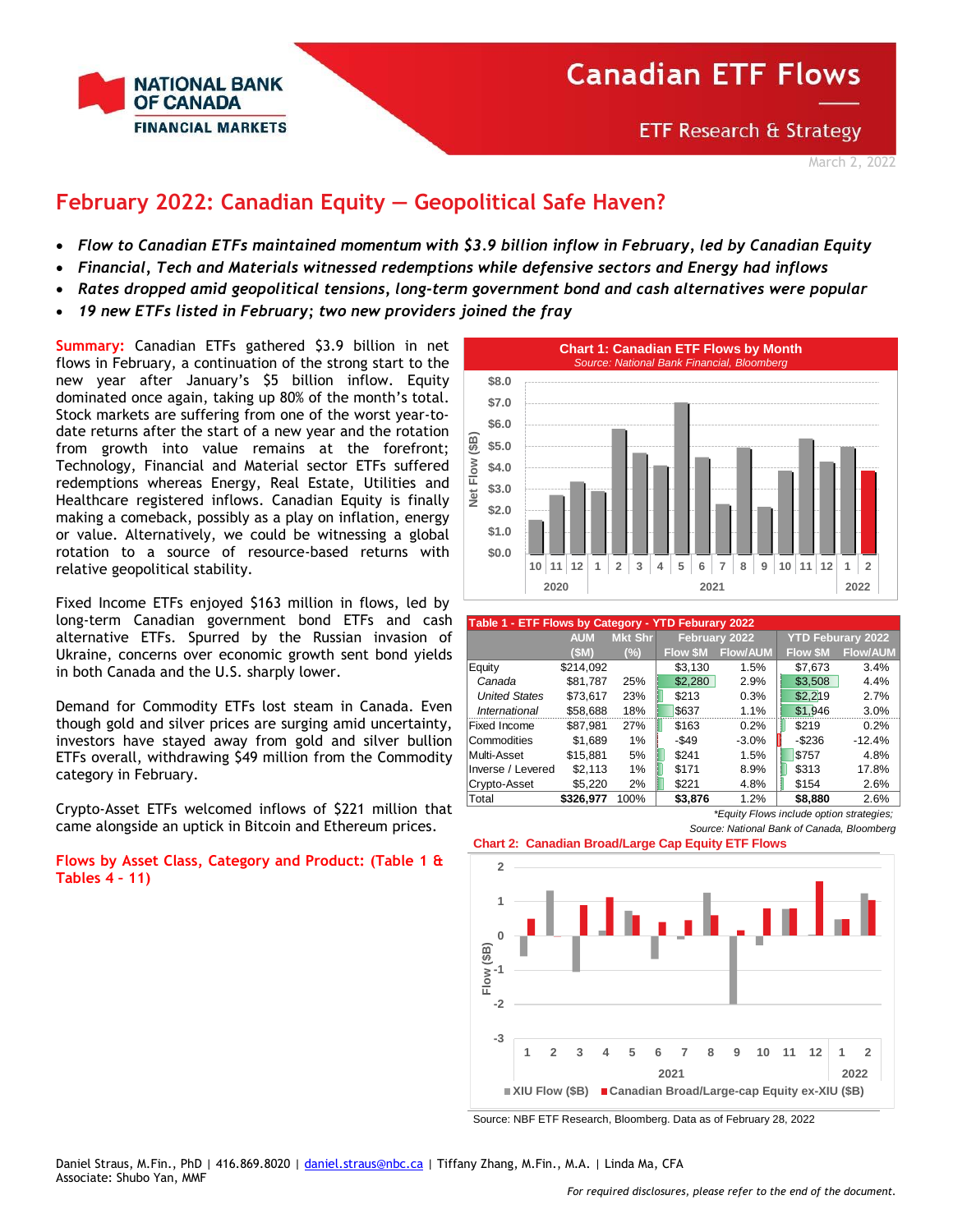

**ETF Research & Strategy** 

## **February 2022: Canadian Equity — Geopolitical Safe Haven?**

- *Flow to Canadian ETFs maintained momentum with \$3.9 billion inflow in February, led by Canadian Equity*
- *Financial, Tech and Materials witnessed redemptions while defensive sectors and Energy had inflows*
- *Rates dropped amid geopolitical tensions, long-term government bond and cash alternatives were popular*
- *19 new ETFs listed in February; two new providers joined the fray*

**Summary:** Canadian ETFs gathered \$3.9 billion in net flows in February, a continuation of the strong start to the new year after January's \$5 billion inflow. Equity dominated once again, taking up 80% of the month's total. Stock markets are suffering from one of the worst year-todate returns after the start of a new year and the rotation from growth into value remains at the forefront; Technology, Financial and Material sector ETFs suffered redemptions whereas Energy, Real Estate, Utilities and Healthcare registered inflows. Canadian Equity is finally making a comeback, possibly as a play on inflation, energy or value. Alternatively, we could be witnessing a global rotation to a source of resource-based returns with relative geopolitical stability.

Fixed Income ETFs enjoyed \$163 million in flows, led by long-term Canadian government bond ETFs and cash alternative ETFs. Spurred by the Russian invasion of Ukraine, concerns over economic growth sent bond yields in both Canada and the U.S. sharply lower.

Demand for Commodity ETFs lost steam in Canada. Even though gold and silver prices are surging amid uncertainty, investors have stayed away from gold and silver bullion ETFs overall, withdrawing \$49 million from the Commodity category in February.

Crypto-Asset ETFs welcomed inflows of \$221 million that came alongside an uptick in Bitcoin and Ethereum prices.

**Flows by Asset Class, Category and Product: (Table 1 & Tables 4 – 11)**



|                      | Table 1 - ETF Flows by Category - YTD Feburary 2022 |                |                |                 |                |                          |  |  |  |  |  |  |
|----------------------|-----------------------------------------------------|----------------|----------------|-----------------|----------------|--------------------------|--|--|--|--|--|--|
|                      | <b>AUM</b>                                          | <b>Mkt Shr</b> |                | February 2022   |                | <b>YTD Feburary 2022</b> |  |  |  |  |  |  |
|                      | (SM)                                                | $(\%)$         | <b>Flow SM</b> | <b>Flow/AUM</b> | <b>Flow SM</b> | <b>Flow/AUM</b>          |  |  |  |  |  |  |
| Equity               | \$214.092                                           |                | \$3,130        | 1.5%            | \$7,673        | 3.4%                     |  |  |  |  |  |  |
| Canada               | \$81,787                                            | 25%            | \$2,280        | 2.9%            | \$3,508        | 4.4%                     |  |  |  |  |  |  |
| <b>United States</b> | \$73.617                                            | 23%            | \$213          | 0.3%            | \$2.219        | 2.7%                     |  |  |  |  |  |  |
| International        | \$58,688                                            | 18%            | \$637          | 1.1%            | \$1.946        | 3.0%                     |  |  |  |  |  |  |
| Fixed Income         | \$87.981                                            | 27%            | \$163          | 0.2%            | \$219          | 0.2%                     |  |  |  |  |  |  |
| Commodities          | \$1.689                                             | 1%             | -\$49          | $-3.0%$         | $-$ \$236      | $-12.4%$                 |  |  |  |  |  |  |
| Multi-Asset          | \$15.881                                            | 5%             | \$241          | 1.5%            | \$757          | 4.8%                     |  |  |  |  |  |  |
| Inverse / Levered    | \$2,113                                             | 1%             | \$171          | 8.9%            | \$313          | 17.8%                    |  |  |  |  |  |  |
| Crypto-Asset         | \$5.220                                             | 2%             | \$221          | 4.8%            | \$154          | 2.6%                     |  |  |  |  |  |  |
| Total                | \$326.977                                           | 100%           | \$3.876        | 1.2%            | \$8.880        | 2.6%                     |  |  |  |  |  |  |

*\*Equity Flows include option strategies; Source: National Bank of Canada, Bloomberg*





Source: NBF ETF Research, Bloomberg. Data as of February 28, 2022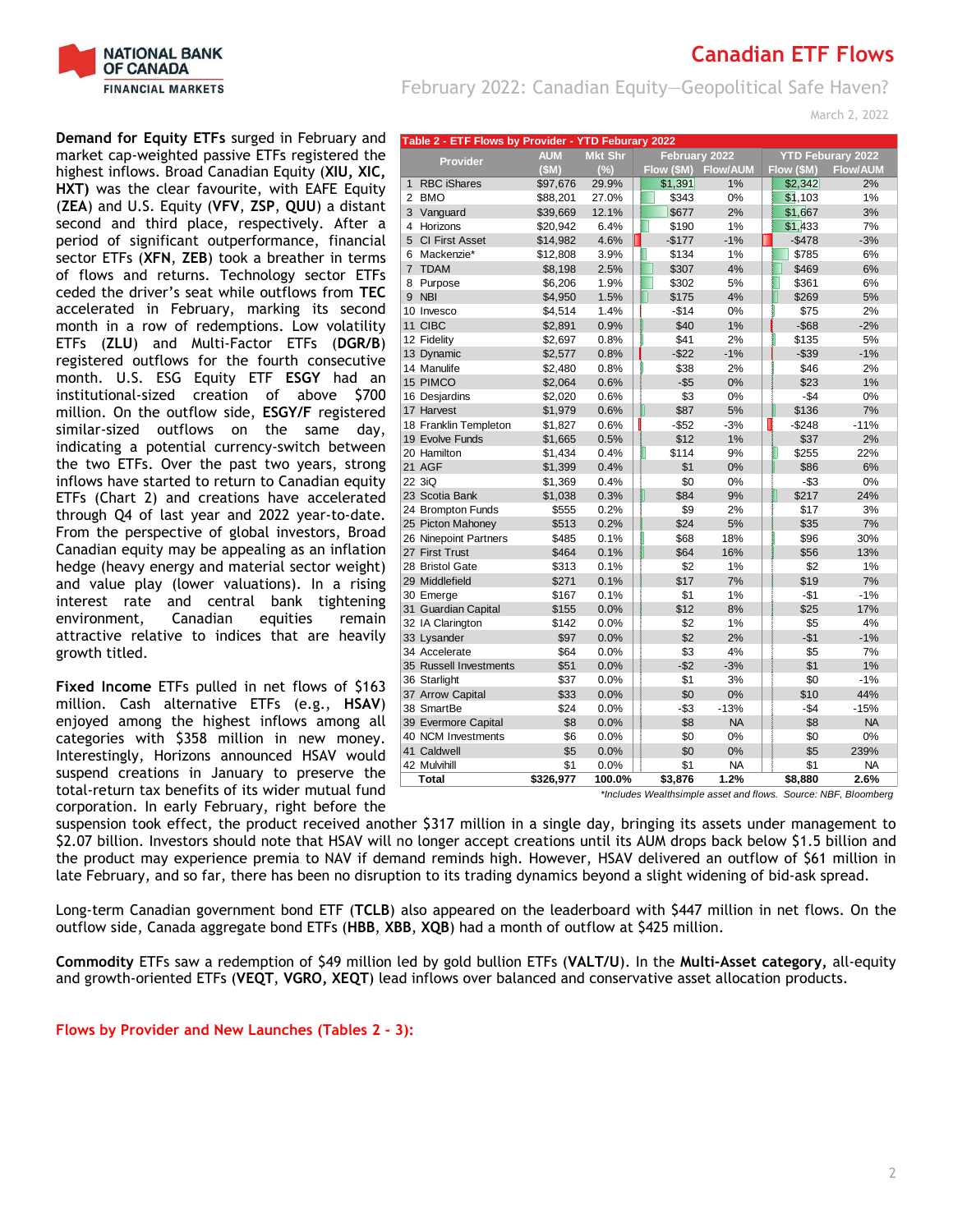

growth titled.

**Demand for Equity ETFs** surged in February and market cap-weighted passive ETFs registered the highest inflows. Broad Canadian Equity (**XIU, XIC, HXT)** was the clear favourite, with EAFE Equity (**ZEA**) and U.S. Equity (**VFV**, **ZSP**, **QUU**) a distant second and third place, respectively. After a period of significant outperformance, financial sector ETFs (**XFN**, **ZEB**) took a breather in terms of flows and returns. Technology sector ETFs ceded the driver's seat while outflows from **TEC** accelerated in February, marking its second month in a row of redemptions. Low volatility ETFs (**ZLU**) and Multi-Factor ETFs (**DGR/B**) registered outflows for the fourth consecutive month. U.S. ESG Equity ETF **ESGY** had an institutional-sized creation of above \$700 million. On the outflow side, **ESGY/F** registered similar-sized outflows on the same day, indicating a potential currency-switch between the two ETFs. Over the past two years, strong inflows have started to return to Canadian equity ETFs (Chart 2) and creations have accelerated through Q4 of last year and 2022 year-to-date. From the perspective of global investors, Broad Canadian equity may be appealing as an inflation hedge (heavy energy and material sector weight) and value play (lower valuations). In a rising interest rate and central bank tightening<br>environment, Canadian equities remain environment, Canadian equities remain attractive relative to indices that are heavily

### **Canadian ETF Flows**

February 2022: Canadian Equity—Geopolitical Safe Haven?

March 2, 2022

|                | Table 2 - ETF Flows by Provider - YTD Feburary 2022 |            |                |            |                 |            |                          |
|----------------|-----------------------------------------------------|------------|----------------|------------|-----------------|------------|--------------------------|
|                | <b>Provider</b>                                     | <b>AUM</b> | <b>Mkt Shr</b> |            | February 2022   |            | <b>YTD Feburary 2022</b> |
|                |                                                     | (SM)       | (%)            | Flow (\$M) | <b>Flow/AUM</b> | Flow (\$M) | <b>Flow/AUM</b>          |
| $\mathbf{1}$   | <b>RBC iShares</b>                                  | \$97,676   | 29.9%          | \$1,391    | 1%              | \$2,342    | 2%                       |
| 2              | <b>BMO</b>                                          | \$88,201   | 27.0%          | \$343      | 0%              | \$1,103    | 1%                       |
| 3              | Vanguard                                            | \$39,669   | 12.1%          | \$677      | 2%              | \$1,667    | 3%                       |
| 4              | Horizons                                            | \$20,942   | 6.4%           | \$190      | 1%              | \$1,433    | 7%                       |
| 5              | <b>CI First Asset</b>                               | \$14,982   | 4.6%           | $-$177$    | $-1%$           | $-$478$    | $-3%$                    |
| 6              | Mackenzie*                                          | \$12,808   | 3.9%           | \$134      | 1%              | \$785      | 6%                       |
| $\overline{7}$ | <b>TDAM</b>                                         | \$8,198    | 2.5%           | \$307      | 4%              | \$469      | 6%                       |
| 8              | Purpose                                             | \$6,206    | 1.9%           | \$302      | 5%              | \$361      | 6%                       |
| 9              | <b>NBI</b>                                          | \$4,950    | 1.5%           | \$175      | 4%              | \$269      | 5%                       |
|                | 10 Invesco                                          | \$4,514    | 1.4%           | $-$14$     | 0%              | \$75       | 2%                       |
|                | 11 CIBC                                             | \$2,891    | 0.9%           | \$40       | 1%              | $-$ \$68   | $-2%$                    |
|                | 12 Fidelity                                         | \$2,697    | 0.8%           | \$41       | 2%              | \$135      | 5%                       |
|                | 13 Dynamic                                          | \$2,577    | 0.8%           | $-$22$     | $-1%$           | $-$ \$39   | $-1%$                    |
|                | 14 Manulife                                         | \$2,480    | 0.8%           | \$38       | 2%              | \$46       | 2%                       |
|                | 15 PIMCO                                            | \$2,064    | 0.6%           | $- $5$     | 0%              | \$23       | 1%                       |
|                | 16 Desjardins                                       | \$2,020    | 0.6%           | \$3        | 0%              | $-$4$      | 0%                       |
|                | 17 Harvest                                          | \$1,979    | 0.6%           | \$87       | 5%              | \$136      | 7%                       |
|                | 18 Franklin Templeton                               | \$1,827    | 0.6%           | $-$ \$52   | $-3%$           | $-$248$    | $-11%$                   |
|                | 19 Evolve Funds                                     | \$1,665    | 0.5%           | \$12       | 1%              | \$37       | 2%                       |
|                | 20 Hamilton                                         | \$1,434    | 0.4%           | \$114      | 9%              | \$255      | 22%                      |
|                | 21 AGF                                              | \$1,399    | 0.4%           | \$1        | 0%              | \$86       | 6%                       |
|                | 22 3iQ                                              | \$1,369    | 0.4%           | \$0        | 0%              | $-$ \$3    | 0%                       |
|                | 23 Scotia Bank                                      | \$1,038    | 0.3%           | \$84       | 9%              | \$217      | 24%                      |
|                | 24 Brompton Funds                                   | \$555      | 0.2%           | \$9        | 2%              | \$17       | 3%                       |
|                | 25 Picton Mahoney                                   | \$513      | 0.2%           | \$24       | 5%              | \$35       | 7%                       |
|                | 26 Ninepoint Partners                               | \$485      | 0.1%           | \$68       | 18%             | \$96       | 30%                      |
|                | 27 First Trust                                      | \$464      | 0.1%           | \$64       | 16%             | \$56       | 13%                      |
|                | 28 Bristol Gate                                     | \$313      | 0.1%           | \$2        | 1%              | \$2        | 1%                       |
|                | 29 Middlefield                                      | \$271      | 0.1%           | \$17       | 7%              | \$19       | 7%                       |
|                | 30 Emerge                                           | \$167      | 0.1%           | \$1        | 1%              | $-$1$      | $-1%$                    |
|                | 31 Guardian Capital                                 | \$155      | 0.0%           | \$12       | 8%              | \$25       | 17%                      |
|                | 32 IA Clarington                                    | \$142      | 0.0%           | \$2        | 1%              | \$5        | 4%                       |
|                | 33 Lysander                                         | \$97       | 0.0%           | \$2        | 2%              | $-$1$      | $-1%$                    |
|                | 34 Accelerate                                       | \$64       | 0.0%           | \$3        | 4%              | \$5        | 7%                       |
|                | 35 Russell Investments                              | \$51       | 0.0%           | $-$ \$2    | $-3%$           | \$1        | 1%                       |
|                | 36 Starlight                                        | \$37       | 0.0%           | \$1        | 3%              | \$0        | $-1%$                    |
|                | 37 Arrow Capital                                    | \$33       | 0.0%           | \$0        | 0%              | \$10       | 44%                      |
|                | 38 SmartBe                                          | \$24       | 0.0%           | $-$ \$3    | $-13%$          | -\$4       | $-15%$                   |
|                | 39 Evermore Capital                                 | \$8        | 0.0%           | \$8        | <b>NA</b>       | \$8        | <b>NA</b>                |
|                | 40 NCM Investments                                  | \$6        | 0.0%           | \$0        | 0%              | \$0        | 0%                       |
|                | 41 Caldwell                                         | \$5        | 0.0%           | \$0        | 0%              | \$5        | 239%                     |
|                | 42 Mulvihill                                        | \$1        | 0.0%           | \$1        | <b>NA</b>       | \$1        | <b>NA</b>                |
|                | Total                                               | \$326,977  | 100.0%         | \$3,876    | 1.2%            | \$8,880    | 2.6%                     |

*\*Includes Wealthsimple asset and flows. Source: NBF, Bloomberg*

suspension took effect, the product received another \$317 million in a single day, bringing its assets under management to \$2.07 billion. Investors should note that HSAV will no longer accept creations until its AUM drops back below \$1.5 billion and the product may experience premia to NAV if demand reminds high. However, HSAV delivered an outflow of \$61 million in late February, and so far, there has been no disruption to its trading dynamics beyond a slight widening of bid-ask spread.

Long-term Canadian government bond ETF (**TCLB**) also appeared on the leaderboard with \$447 million in net flows. On the outflow side, Canada aggregate bond ETFs (**HBB**, **XBB**, **XQB**) had a month of outflow at \$425 million.

**Commodity** ETFs saw a redemption of \$49 million led by gold bullion ETFs (**VALT/U**). In the **Multi-Asset category,** all-equity and growth-oriented ETFs (**VEQT**, **VGRO, XEQT**) lead inflows over balanced and conservative asset allocation products.

**Flows by Provider and New Launches (Tables 2 - 3):**

**Fixed Income** ETFs pulled in net flows of \$163 million. Cash alternative ETFs (e.g., **HSAV**) enjoyed among the highest inflows among all categories with \$358 million in new money. Interestingly, Horizons announced HSAV would suspend creations in January to preserve the total-return tax benefits of its wider mutual fund corporation. In early February, right before the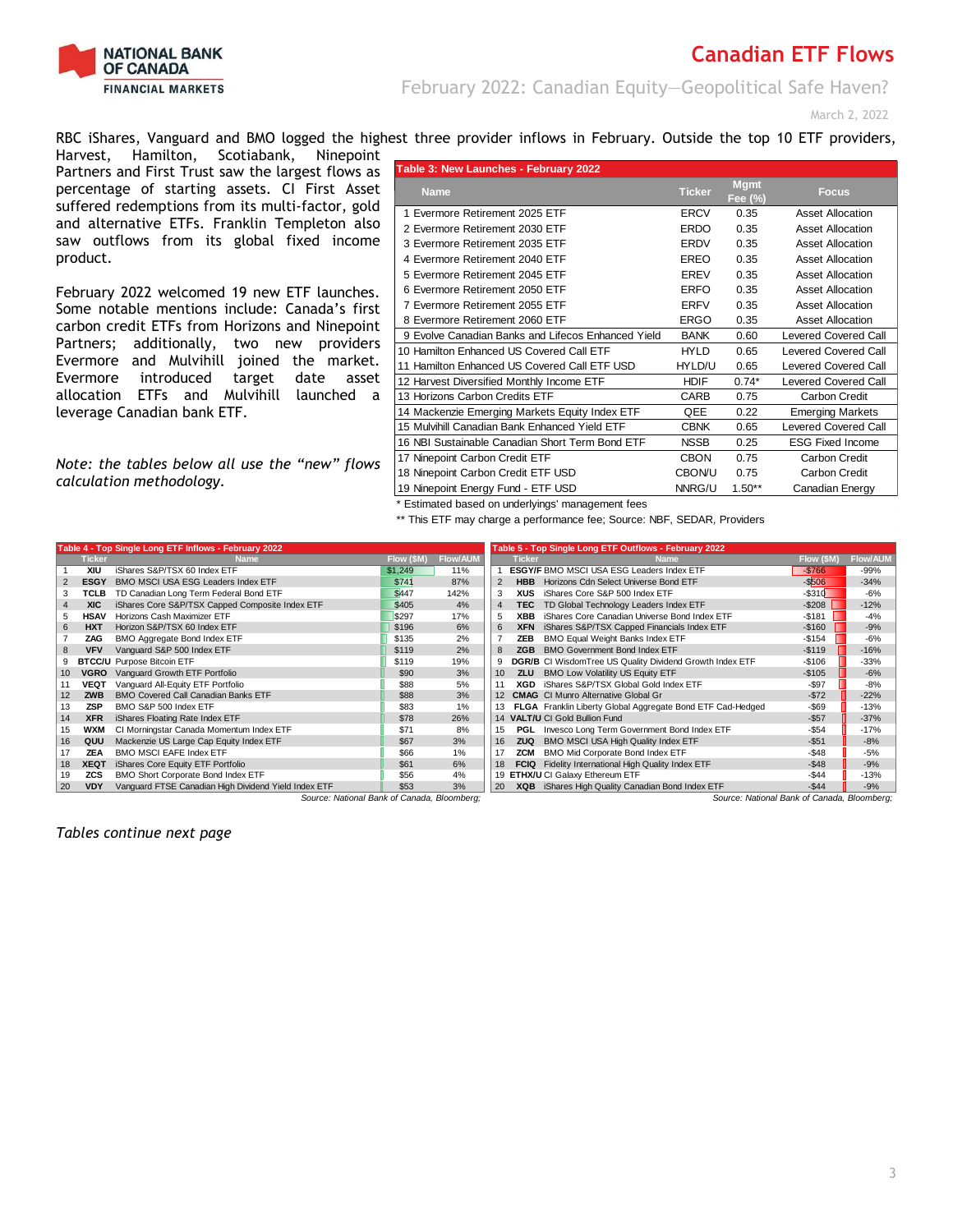

February 2022: Canadian Equity—Geopolitical Safe Haven?

March 2, 2022

RBC iShares, Vanguard and BMO logged the highest three provider inflows in February. Outside the top 10 ETF providers,

Harvest, Hamilton, Scotiabank, Ninepoint Partners and First Trust saw the largest flows as percentage of starting assets. CI First Asset suffered redemptions from its multi-factor, gold and alternative ETFs. Franklin Templeton also saw outflows from its global fixed income product.

February 2022 welcomed 19 new ETF launches. Some notable mentions include: Canada's first carbon credit ETFs from Horizons and Ninepoint Partners; additionally, two new providers Evermore and Mulvihill joined the market. Evermore introduced target date asset allocation ETFs and Mulvihill launched a leverage Canadian bank ETF.

*Note: the tables below all use the "new" flows calculation methodology.*

| Table 3: New Launches - February 2022              |               |                        |                             |
|----------------------------------------------------|---------------|------------------------|-----------------------------|
| <b>Name</b>                                        | <b>Ticker</b> | <b>Mgmt</b><br>Fee (%) | <b>Focus</b>                |
| 1 Evermore Retirement 2025 ETF                     | <b>ERCV</b>   | 0.35                   | <b>Asset Allocation</b>     |
| 2 Evermore Retirement 2030 ETF                     | <b>ERDO</b>   | 0.35                   | <b>Asset Allocation</b>     |
| 3 Evermore Retirement 2035 ETF                     | <b>ERDV</b>   | 0.35                   | <b>Asset Allocation</b>     |
| 4 Evermore Retirement 2040 ETF                     | EREO          | 0.35                   | <b>Asset Allocation</b>     |
| 5 Evermore Retirement 2045 ETF                     | <b>EREV</b>   | 0.35                   | <b>Asset Allocation</b>     |
| 6 Evermore Retirement 2050 ETF                     | ERFO          | 0.35                   | <b>Asset Allocation</b>     |
| 7 Evermore Retirement 2055 ETF                     | <b>ERFV</b>   | 0.35                   | <b>Asset Allocation</b>     |
| 8 Evermore Retirement 2060 ETF                     | <b>ERGO</b>   | 0.35                   | <b>Asset Allocation</b>     |
| 9 Evolve Canadian Banks and Lifecos Enhanced Yield | <b>BANK</b>   | 0.60                   | <b>Levered Covered Call</b> |
| 10 Hamilton Enhanced US Covered Call ETF           | <b>HYLD</b>   | 0.65                   | Levered Covered Call        |
| 11 Hamilton Enhanced US Covered Call ETF USD       | HYLD/U        | 0.65                   | <b>Levered Covered Call</b> |
| 12 Harvest Diversified Monthly Income ETF          | <b>HDIF</b>   | $0.74*$                | <b>Levered Covered Call</b> |
| 13 Horizons Carbon Credits ETF                     | CARB          | 0.75                   | Carbon Credit               |
| 14 Mackenzie Emerging Markets Equity Index ETF     | QEE           | 0.22                   | <b>Emerging Markets</b>     |
| 15 Mulvihill Canadian Bank Enhanced Yield ETF      | <b>CBNK</b>   | 0.65                   | <b>Levered Covered Call</b> |
| 16 NBI Sustainable Canadian Short Term Bond ETF    | <b>NSSB</b>   | 0.25                   | <b>ESG Fixed Income</b>     |
| 17 Ninepoint Carbon Credit ETF                     | <b>CBON</b>   | 0.75                   | Carbon Credit               |
| 18 Ninepoint Carbon Credit ETF USD                 | <b>CBON/U</b> | 0.75                   | Carbon Credit               |
| 19 Ninepoint Energy Fund - ETF USD                 | NNRG/U        | $1.50**$               | Canadian Energy             |

\* Estimated based on underlyings' management fees

\*\* This ETF may charge a performance fee; Source: NBF, SEDAR, Providers

|    |               | Table 4 - Top Single Long ETF Inflows - February 2022 |            |          | Table 5 - Top Single Long ETF Outflows - February 2022 |               |                                                            |            |                 |  |
|----|---------------|-------------------------------------------------------|------------|----------|--------------------------------------------------------|---------------|------------------------------------------------------------|------------|-----------------|--|
|    | <b>Ticker</b> | <b>Name</b>                                           | Flow (\$M) | Flow/AUM |                                                        | <b>Ticker</b> | <b>Name</b>                                                | Flow (\$M) | <b>Flow/AUN</b> |  |
|    | XIU           | iShares S&P/TSX 60 Index ETF                          | \$1,249    | 11%      |                                                        |               | <b>ESGY/F BMO MSCI USA ESG Leaders Index ETF</b>           | $-$766$    | $-99%$          |  |
|    | <b>ESGY</b>   | BMO MSCI USA ESG Leaders Index ETF                    | \$741      | 87%      |                                                        | <b>HBB</b>    | Horizons Cdn Select Universe Bond ETF                      | $-$506$    | $-34%$          |  |
|    | <b>TCLB</b>   | TD Canadian Long Term Federal Bond ETF                | \$447      | 142%     | 3                                                      | XUS           | iShares Core S&P 500 Index ETF                             | $-$310$    | $-6%$           |  |
|    | <b>XIC</b>    | iShares Core S&P/TSX Capped Composite Index ETF       | \$405      | 4%       | $\overline{4}$                                         | TEC.          | TD Global Technology Leaders Index ETF                     | $-$ \$208  | $-12%$          |  |
|    | <b>HSAV</b>   | Horizons Cash Maximizer ETF                           | \$297      | 17%      | 5                                                      | XBB           | iShares Core Canadian Universe Bond Index ETF              | $-$181$    | $-4%$           |  |
| 6. | <b>HXT</b>    | Horizon S&P/TSX 60 Index ETF                          | \$196      | 6%       | 6                                                      | <b>XFN</b>    | iShares S&P/TSX Capped Financials Index ETF                | $-$160$    | $-9%$           |  |
|    | ZAG           | BMO Aggregate Bond Index ETF                          | \$135      | 2%       |                                                        | ZEB           | BMO Equal Weight Banks Index ETF                           | $-$154$    | $-6%$           |  |
| 8  | <b>VFV</b>    | Vanguard S&P 500 Index ETF                            | \$119      | 2%       | 8                                                      | <b>ZGB</b>    | <b>BMO Government Bond Index ETF</b>                       | $-$119$    | $-16%$          |  |
| 9  |               | <b>BTCC/U</b> Purpose Bitcoin ETF                     | \$119      | 19%      | 9                                                      |               | DGR/B CI WisdomTree US Quality Dividend Growth Index ETF   | $-$106$    | $-33%$          |  |
|    | <b>VGRO</b>   | Vanguard Growth ETF Portfolio                         | \$90       | 3%       | 10                                                     | <b>ZLU</b>    | BMO Low Volatility US Equity ETF                           | $-$105$    | $-6%$           |  |
|    | <b>VEQT</b>   | Vanguard All-Equity ETF Portfolio                     | \$88       | 5%       |                                                        | XGD           | iShares S&P/TSX Global Gold Index ETF                      | $-$ \$97   | $-8%$           |  |
| 12 | <b>ZWB</b>    | <b>BMO Covered Call Canadian Banks ETF</b>            | \$88       | 3%       | 12                                                     |               | <b>CMAG</b> CI Munro Alternative Global Gr                 | $-$72$     | $-22%$          |  |
| 13 | <b>ZSP</b>    | BMO S&P 500 Index ETF                                 | \$83       | 1%       |                                                        |               | FLGA Franklin Liberty Global Aggregate Bond ETF Cad-Hedged | $-$ \$69   | $-13%$          |  |
| 14 | <b>XFR</b>    | iShares Floating Rate Index ETF                       | \$78       | 26%      | 14                                                     |               | <b>VALT/U CI Gold Bullion Fund</b>                         | $-$57$     | $-37%$          |  |
| 15 | <b>WXM</b>    | CI Morningstar Canada Momentum Index ETF              | \$71       | 8%       | 15                                                     | PGL           | Invesco Long Term Government Bond Index ETF                | $-$54$     | $-17%$          |  |
| 16 | QUU           | Mackenzie US Large Cap Equity Index ETF               | \$67       | 3%       | 16                                                     | <b>ZUQ</b>    | BMO MSCI USA High Quality Index ETF                        | $-$51$     | $-8%$           |  |
| 17 | <b>ZEA</b>    | <b>BMO MSCI EAFE Index ETF</b>                        | \$66       | 1%       | 17                                                     | ZCM           | BMO Mid Corporate Bond Index ETF                           | $-$48$     | $-5%$           |  |
| 18 | <b>XEQT</b>   | iShares Core Equity ETF Portfolio                     | \$61       | 6%       | 18                                                     | <b>FCIQ</b>   | Fidelity International High Quality Index ETF              | $-$ \$48   | $-9%$           |  |
| 19 | <b>ZCS</b>    | BMO Short Corporate Bond Index ETF                    | \$56       | 4%       | 19                                                     |               | ETHX/U CI Galaxy Ethereum ETF                              | $-$44$     | $-13%$          |  |
| 20 | <b>VDY</b>    | Vanquard FTSE Canadian High Dividend Yield Index ETF  | \$53       | 3%       | 20                                                     |               | XQB iShares High Quality Canadian Bond Index ETF           | $-$44$     | $-9%$           |  |

*Source: National Bank of Canada, Bloomberg; Source: National Bank of Canada, Bloomberg;*

*Tables continue next page*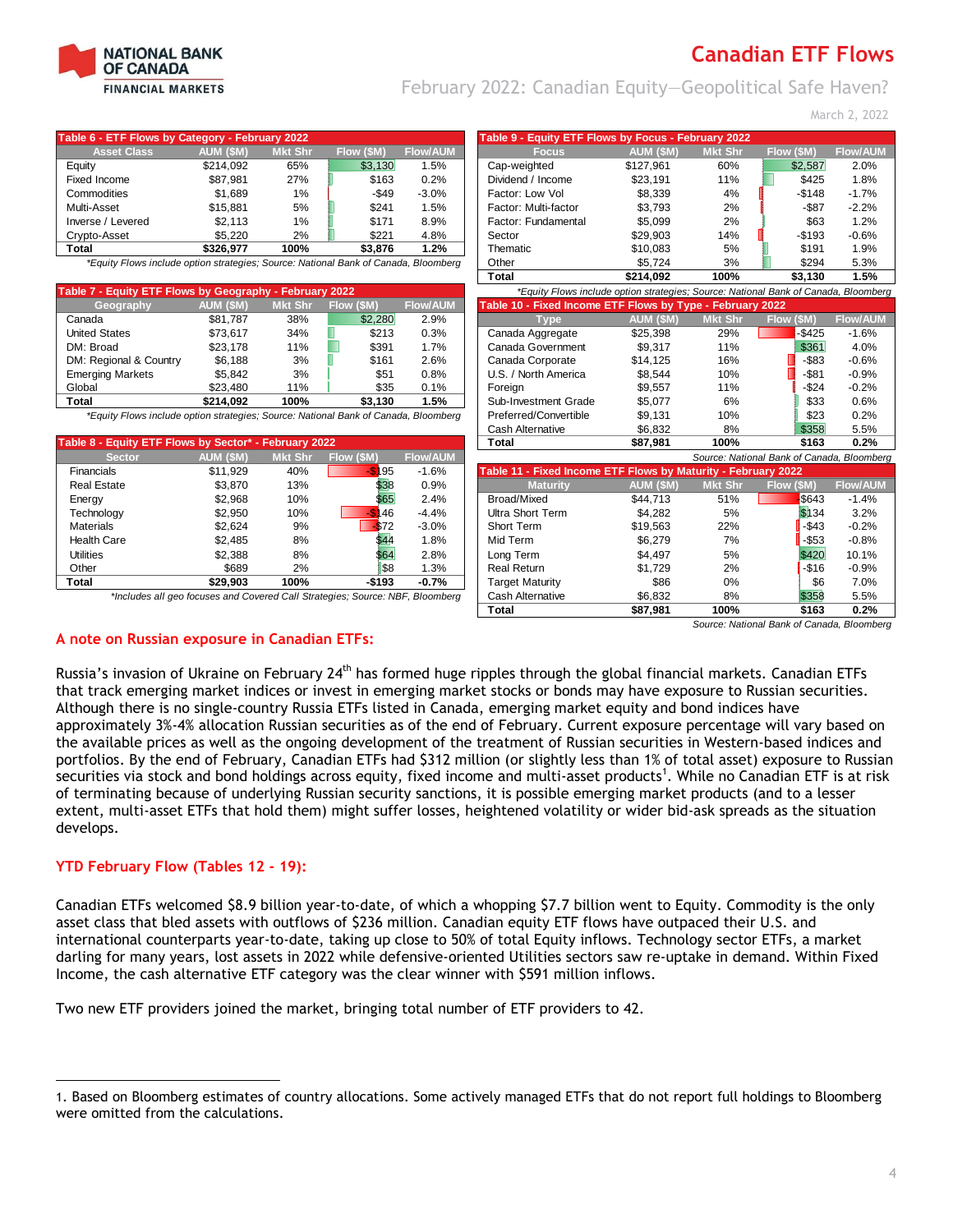

February 2022: Canadian Equity—Geopolitical Safe Haven?

March 2, 2022

| Table 6 - ETF Flows by Category - February 2022                                     |                 |                |            |                 | Table 9 - Equity ETF Flows by Focus - February 2022                                 |           |                |                                            |                 |
|-------------------------------------------------------------------------------------|-----------------|----------------|------------|-----------------|-------------------------------------------------------------------------------------|-----------|----------------|--------------------------------------------|-----------------|
| <b>Asset Class</b>                                                                  | <b>AUM (SM)</b> | <b>Mkt Shr</b> | Flow (\$M) | <b>Flow/AUM</b> | <b>Focus</b>                                                                        | AUM (\$M) | <b>Mkt Shr</b> | Flow (\$M)                                 | <b>Flow/AUM</b> |
| Equity                                                                              | \$214,092       | 65%            | \$3,130    | 1.5%            | Cap-weighted                                                                        | \$127,961 | 60%            | \$2,587                                    | 2.0%            |
| <b>Fixed Income</b>                                                                 | \$87,981        | 27%            | \$163      | 0.2%            | Dividend / Income                                                                   | \$23,191  | 11%            | \$425                                      | 1.8%            |
| Commodities                                                                         | \$1,689         | $1\%$          | $-$ \$49   | $-3.0%$         | Factor: Low Vol                                                                     | \$8,339   | 4%             | $-$148$                                    | $-1.7%$         |
| Multi-Asset                                                                         | \$15,881        | 5%             | \$241      | 1.5%            | Factor: Multi-factor                                                                | \$3,793   | 2%             | $-$ \$87                                   | $-2.2%$         |
| Inverse / Levered                                                                   | \$2,113         | 1%             | \$171      | 8.9%            | Factor: Fundamental                                                                 | \$5,099   | 2%             | \$63                                       | 1.2%            |
| Crypto-Asset                                                                        | \$5,220         | 2%             | \$221      | 4.8%            | Sector                                                                              | \$29,903  | 14%            | $-$193$                                    | $-0.6%$         |
| <b>Total</b>                                                                        | \$326,977       | 100%           | \$3,876    | 1.2%            | Thematic                                                                            | \$10,083  | 5%             | \$191                                      | 1.9%            |
| *Equity Flows include option strategies; Source: National Bank of Canada, Bloomberg |                 |                |            |                 | Other                                                                               | \$5,724   | 3%             | \$294                                      | 5.3%            |
|                                                                                     |                 |                |            |                 | <b>Total</b>                                                                        | \$214,092 | 100%           | \$3,130                                    | 1.5%            |
| Table 7 - Equity ETF Flows by Geography - February 2022                             |                 |                |            |                 | *Equity Flows include option strategies; Source: National Bank of Canada, Bloomberg |           |                |                                            |                 |
| Geography                                                                           | AUM (\$M)       | <b>Mkt Shr</b> | Flow (\$M) | <b>Flow/AUM</b> | Table 10 - Fixed Income ETF Flows by Type - February 2022                           |           |                |                                            |                 |
| Canada                                                                              | \$81,787        | 38%            | \$2,280    | 2.9%            | <b>Type</b>                                                                         | AUM (\$M) | <b>Mkt Shr</b> | $Flow$ (\$M)                               | <b>Flow/AUM</b> |
| <b>United States</b>                                                                | \$73,617        | 34%            | \$213      | 0.3%            | Canada Aggregate                                                                    | \$25,398  | 29%            | \$425                                      | $-1.6%$         |
| DM: Broad                                                                           | \$23,178        | 11%            | H<br>\$391 | 1.7%            | Canada Government                                                                   | \$9,317   | 11%            | \$361                                      | 4.0%            |
| DM: Regional & Country                                                              | \$6,188         | 3%             | \$161      | 2.6%            | Canada Corporate                                                                    | \$14,125  | 16%            | $-$ \$83                                   | $-0.6%$         |
| <b>Emerging Markets</b>                                                             | \$5,842         | 3%             | \$51       | 0.8%            | U.S. / North America                                                                | \$8,544   | 10%            | $-$ \$81                                   | $-0.9%$         |
| Global                                                                              | \$23,480        | 11%            | \$35       | 0.1%            | Foreign                                                                             | \$9,557   | 11%            | $-$ \$24                                   | $-0.2%$         |
| <b>Total</b>                                                                        | \$214,092       | 100%           | \$3,130    | 1.5%            | Sub-Investment Grade                                                                | \$5,077   | 6%             | \$33                                       | 0.6%            |
| *Equity Flows include option strategies; Source: National Bank of Canada, Bloomberg |                 |                |            |                 | Preferred/Convertible                                                               | \$9,131   | 10%            | \$23                                       | 0.2%            |
|                                                                                     |                 |                |            |                 | <b>Cash Alternative</b>                                                             | \$6.832   | 8%             | \$358                                      | 5.5%            |
| Table 8 - Equity ETF Flows by Sector* - February 2022                               |                 |                |            |                 | <b>Total</b>                                                                        | \$87,981  | 100%           | \$163                                      | 0.2%            |
| <b>Sector</b>                                                                       | AUM (\$M)       | <b>Mkt Shr</b> | Flow (\$M) | <b>Flow/AUM</b> |                                                                                     |           |                | Source: National Bank of Canada, Bloomberg |                 |
| Financials                                                                          | \$11,929        | 40%            | 195<br>.ፍ  | $-1.6%$         | Table 11 - Fixed Income ETF Flows by Maturity - February 2022                       |           |                |                                            |                 |
| <b>Real Estate</b>                                                                  | \$3,870         | 13%            | \$38       | 0.9%            | <b>Maturity</b>                                                                     | AUM (\$M) | <b>Mkt Shr</b> | Flow (\$M)                                 | <b>Flow/AUM</b> |
| Energy                                                                              | \$2,968         | 10%            | \$65       | 2.4%            | <b>Broad/Mixed</b>                                                                  | \$44,713  | 51%            | \$643                                      | $-1.4%$         |
| Technology                                                                          | \$2,950         | 10%            | 46         | $-4.4%$         | <b>Ultra Short Term</b>                                                             | \$4,282   | 5%             | \$134                                      | 3.2%            |
| <b>Materials</b>                                                                    | \$2,624         | 9%             | \$72       | $-3.0%$         | Short Term                                                                          | \$19,563  | 22%            | -\$43                                      | $-0.2%$         |
| <b>Health Care</b>                                                                  | \$2,485         | 8%             | \$44       | 1.8%            | Mid Term                                                                            | \$6,279   | 7%             | $-$ \$53                                   | $-0.8%$         |
| <b>Utilities</b>                                                                    | \$2,388         | 8%             | \$64       | 2.8%            | Long Term                                                                           | \$4,497   | 5%             | \$420                                      | 10.1%           |
| Other                                                                               | \$689           | 2%             | \$8        | 1.3%            | <b>Real Return</b>                                                                  | \$1,729   | 2%             | $-$16$                                     | $-0.9%$         |
| <b>Total</b>                                                                        | \$29.903        | 100%           | $-$193$    | $-0.7%$         | <b>Target Maturity</b>                                                              | \$86      | 0%             | \$6                                        | 7.0%            |
| *Includes all geo focuses and Covered Call Strategies; Source: NBF, Bloomberg       |                 |                |            |                 | <b>Cash Alternative</b>                                                             | \$6,832   | 8%             | \$358                                      | 5.5%            |
|                                                                                     |                 |                |            |                 | <b>Total</b>                                                                        | \$87,981  | 100%           | \$163                                      | 0.2%            |
| A note on Russian exposure in Canadian ETFs:                                        |                 |                |            |                 |                                                                                     |           |                | Source: National Bank of Canada, Bloomberg |                 |

Russia's invasion of Ukraine on February 24<sup>th</sup> has formed huge ripples through the global financial markets. Canadian ETFs that track emerging market indices or invest in emerging market stocks or bonds may have exposure to Russian securities. Although there is no single-country Russia ETFs listed in Canada, emerging market equity and bond indices have approximately 3%-4% allocation Russian securities as of the end of February. Current exposure percentage will vary based on the available prices as well as the ongoing development of the treatment of Russian securities in Western-based indices and portfolios. By the end of February, Canadian ETFs had \$312 million (or slightly less than 1% of total asset) exposure to Russian securities via stock and bond holdings across equity, fixed income and multi-asset products<sup>1</sup>. While no Canadian ETF is at risk of terminating because of underlying Russian security sanctions, it is possible emerging market products (and to a lesser extent, multi-asset ETFs that hold them) might suffer losses, heightened volatility or wider bid-ask spreads as the situation develops.

### **YTD February Flow (Tables 12 - 19):**

Canadian ETFs welcomed \$8.9 billion year-to-date, of which a whopping \$7.7 billion went to Equity. Commodity is the only asset class that bled assets with outflows of \$236 million. Canadian equity ETF flows have outpaced their U.S. and international counterparts year-to-date, taking up close to 50% of total Equity inflows. Technology sector ETFs, a market darling for many years, lost assets in 2022 while defensive-oriented Utilities sectors saw re-uptake in demand. Within Fixed Income, the cash alternative ETF category was the clear winner with \$591 million inflows.

Two new ETF providers joined the market, bringing total number of ETF providers to 42.

 $\overline{a}$ 1. Based on Bloomberg estimates of country allocations. Some actively managed ETFs that do not report full holdings to Bloomberg were omitted from the calculations.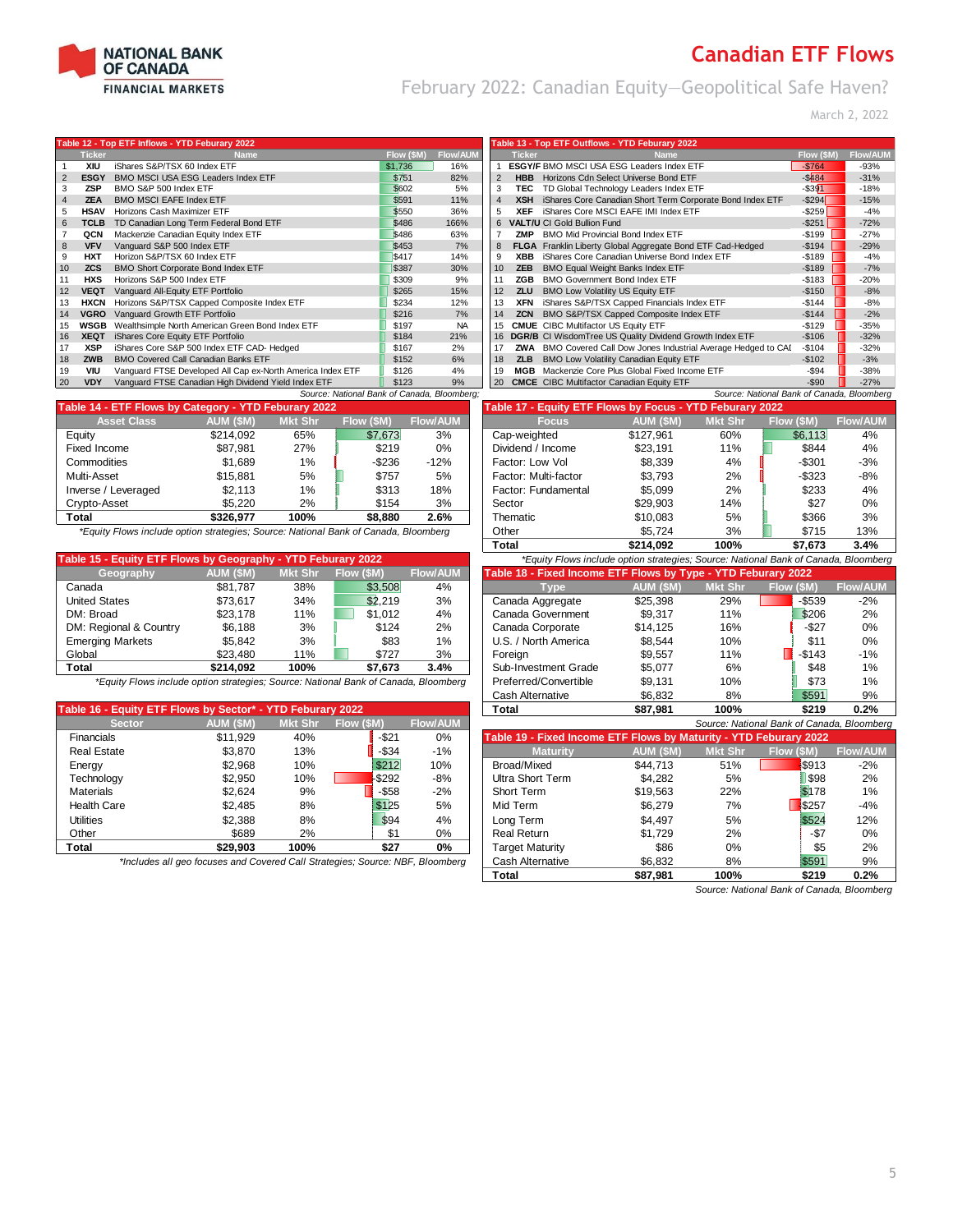

February 2022: Canadian Equity—Geopolitical Safe Haven?

March 2, 2022

#### **12 - Top ETF Inflows - YTD Feb**

|    | <b>Ticker</b> | <b>Name</b>                                                | Flow (\$M) | <b>Flow/AUM</b> |                | <b>Ticker</b> | <b>Name</b>                                                 | Flow (\$M) | <b>Flow/AUI</b> |
|----|---------------|------------------------------------------------------------|------------|-----------------|----------------|---------------|-------------------------------------------------------------|------------|-----------------|
|    | XIU           | iShares S&P/TSX 60 Index ETF                               | \$1,736    | 16%             |                |               | ESGY/F BMO MSCI USA ESG Leaders Index ETF                   | $-$764$    | $-93%$          |
| 2  | <b>ESGY</b>   | BMO MSCI USA ESG Leaders Index ETF                         | \$751      | 82%             | $\overline{2}$ | <b>HBB</b>    | Horizons Cdn Select Universe Bond ETF                       | $-$484$    | $-31%$          |
| 3  | <b>ZSP</b>    | BMO S&P 500 Index ETF                                      | \$602      | 5%              | 3              | TEC.          | TD Global Technology Leaders Index ETF                      | $-$ \$391  | $-18%$          |
|    | <b>ZEA</b>    | <b>BMO MSCI EAFE Index ETF</b>                             | \$591      | 11%             | 4              | <b>XSH</b>    | iShares Core Canadian Short Term Corporate Bond Index ETF   | $-$ \$294  | $-15%$          |
| 5  | <b>HSAV</b>   | Horizons Cash Maximizer ETF                                | \$550      | 36%             | 5              | <b>XEF</b>    | iShares Core MSCI EAFE IMI Index ETF                        | $-$ \$259  | $-4%$           |
| 6  | TCLB          | TD Canadian Long Term Federal Bond ETF                     | \$486      | 166%            |                |               | 6 VALT/U CI Gold Bullion Fund                               | $-$ \$251  | $-72%$          |
|    | QCN           | Mackenzie Canadian Equity Index ETF                        | \$486      | 63%             |                | ZMP           | <b>BMO Mid Provincial Bond Index ETF</b>                    | $-$199$    | $-27%$          |
| 8  | <b>VFV</b>    | Vanguard S&P 500 Index ETF                                 | \$453      | 7%              | 8              |               | FLGA Franklin Liberty Global Aggregate Bond ETF Cad-Hedged  | $-$194$    | $-29%$          |
| 9  | <b>HXT</b>    | Horizon S&P/TSX 60 Index ETF                               | \$417      | 14%             | 9              | <b>XBB</b>    | iShares Core Canadian Universe Bond Index ETF               | $-$189$    | $-4%$           |
| 10 | <b>ZCS</b>    | BMO Short Corporate Bond Index ETF                         | \$387      | 30%             | 10             | <b>ZEB</b>    | <b>BMO Equal Weight Banks Index ETF</b>                     | $-$ \$189  | $-7%$           |
|    | <b>HXS</b>    | Horizons S&P 500 Index ETF                                 | \$309      | 9%              |                | ZGB           | <b>BMO Government Bond Index ETF</b>                        | $-$ \$183  | $-20%$          |
| 12 | <b>VEQT</b>   | Vanquard All-Equity ETF Portfolio                          | \$265      | 15%             | 12             | <b>ZLU</b>    | <b>BMO Low Volatility US Equity ETF</b>                     | $-$150$    | $-8%$           |
| 13 | HXCN          | Horizons S&P/TSX Capped Composite Index ETF                | \$234      | 12%             | 13             | <b>XFN</b>    | iShares S&P/TSX Capped Financials Index ETF                 | -\$144     | $-8%$           |
| 14 | VGRO          | Vanquard Growth ETF Portfolio                              | \$216      | 7%              | 14             | <b>ZCN</b>    | BMO S&P/TSX Capped Composite Index ETF                      | $-$144$    | $-2%$           |
| 15 | <b>WSGB</b>   | Wealthsimple North American Green Bond Index ETF           | \$197      | <b>NA</b>       | 15             |               | <b>CMUE</b> CIBC Multifactor US Equity ETF                  | $-$129$    | $-35%$          |
| 16 | <b>XEQT</b>   | iShares Core Equity ETF Portfolio                          | \$184      | 21%             |                |               | 16 DGR/B CI WisdomTree US Quality Dividend Growth Index ETF | $-$106$    | $-32%$          |
| 17 | <b>XSP</b>    | iShares Core S&P 500 Index ETF CAD- Hedged                 | \$167      | 2%              | 17             | ZWA           | BMO Covered Call Dow Jones Industrial Average Hedged to CAI | $-$104$    | $-32%$          |
| 18 | <b>ZWB</b>    | <b>BMO Covered Call Canadian Banks ETF</b>                 | \$152      | 6%              | 18             | <b>ZLB</b>    | BMO Low Volatility Canadian Equity ETF                      | $-$102$    | $-3%$           |
| 19 | <b>VIU</b>    | Vanquard FTSE Developed All Cap ex-North America Index ETF | \$126      | 4%              | 19             | MGB           | Mackenzie Core Plus Global Fixed Income ETF                 | $-$ \$94   | $-38%$          |
| 20 | <b>VDY</b>    | Vanquard FTSE Canadian High Dividend Yield Index ETF       | \$123      | 9%              | <b>20</b>      |               | <b>CMCE</b> CIBC Multifactor Canadian Equity ETF            | $-$ \$90   | $-27%$          |

| Table 14 - ETF Flows by Category - YTD Feburary 2022 |           |                |            |                 | Table 17 - Equity ETF Flows by Focus - YTD Feburary 2022 |           |                |            |                 |  |  |
|------------------------------------------------------|-----------|----------------|------------|-----------------|----------------------------------------------------------|-----------|----------------|------------|-----------------|--|--|
| <b>Asset Class</b>                                   | AUM (\$M) | <b>Mkt Shr</b> | Flow (\$M) | <b>Flow/AUM</b> | <b>Focus</b>                                             | AUM (SM)  | <b>Mkt Shr</b> | Flow (\$M) | <b>Flow/AUI</b> |  |  |
| Equity                                               | \$214.092 | 65%            | \$7,673    | 3%              | Cap-weighted                                             | \$127.961 | 60%            | \$6.113    | 4%              |  |  |
| Fixed Income                                         | \$87.981  | 27%            | \$219      | 0%              | Dividend / Income                                        | \$23.191  | 11%            | \$844      | 4%              |  |  |
| Commodities                                          | \$1.689   | 1%             | $-$ \$236  | $-12%$          | Factor: Low Vol                                          | \$8,339   | 4%             | $-$ \$301  | $-3%$           |  |  |
| Multi-Asset                                          | \$15.881  | 5%             | \$757      | 5%              | Factor: Multi-factor                                     | \$3.793   | 2%             | $-$ \$323  | -8%             |  |  |
| Inverse / Leveraged                                  | \$2.113   | 1%             | \$313      | 18%             | Factor: Fundamental                                      | \$5.099   | 2%             | \$233      | 4%              |  |  |
| Crypto-Asset                                         | \$5.220   | 2%             | \$154      | 3%              | Sector                                                   | \$29.903  | 14%            | \$27       | 0%              |  |  |
| Total                                                | \$326.977 | 100%           | \$8.880    | 2.6%            | Thematic                                                 | \$10.083  | 5%             | \$366      | 3%              |  |  |

*\*Equity Flows include option strategies; Source: National Bank of Canada, Bloomberg* 

| Table 15 - Equity ETF Flows by Geography - YTD Feburary 2022 |           |         |            |                 | *Equity Flows include option strategies; Source: National Bank of Canada, Bloomberg |           |                |            |                 |
|--------------------------------------------------------------|-----------|---------|------------|-----------------|-------------------------------------------------------------------------------------|-----------|----------------|------------|-----------------|
| Geography                                                    | AUM (\$M) | Mkt Shr | Flow (\$M) | <b>Flow/AUM</b> | Table 18 - Fixed Income ETF Flows by Type - YTD Feburary 2022                       |           |                |            |                 |
| Canada                                                       | \$81.787  | 38%     | \$3.508    | 4%              | Type'                                                                               | AUM (\$M) | <b>Mkt Shr</b> | Flow (\$M) | <b>Flow/AUM</b> |
| <b>United States</b>                                         | \$73.617  | 34%     | \$2.219    | 3%              | Canada Aggregate                                                                    | \$25.398  | 29%            | $-$ \$539  | $-2%$           |
| DM: Broad                                                    | \$23.178  | 11%     | \$1.012    | 4%              | Canada Government                                                                   | \$9.317   | 11%            | \$206      | 2%              |
| DM: Regional & Country                                       | \$6.188   | 3%      | \$124      | 2%              | Canada Corporate                                                                    | \$14.125  | 16%            | $-$27$     | 0%              |
| <b>Emerging Markets</b>                                      | \$5.842   | 3%      | \$83       | $1\%$           | U.S. / North America                                                                | \$8.544   | 10%            | \$11       | 0%              |
| Global                                                       | \$23.480  | 11%     | \$727      | 3%              | Foreian                                                                             | \$9.557   | 11%            | $-$143$    | $-1%$           |
| Total                                                        | \$214.092 | 100%    | \$7.673    | 3.4%            | Sub-Investment Grade                                                                | \$5.077   | 6%             | \$48       | 1%              |

|                                                            |           |                |            |                 | <u>ouville situativu</u>                                          | $\mathsf{v}\mathsf{v}\mathsf{v}\mathsf{v}$ | $\sim$ , $\sim$ | $\sim$ .                                 | $\sim$ , $\sim$ |
|------------------------------------------------------------|-----------|----------------|------------|-----------------|-------------------------------------------------------------------|--------------------------------------------|-----------------|------------------------------------------|-----------------|
| Table 16 - Equity ETF Flows by Sector* - YTD Feburary 2022 |           |                |            |                 | Total                                                             | \$87,981                                   | 100%            | \$219                                    | 0.2%            |
| <b>Sector</b>                                              | AUM (\$M) | <b>Mkt Shr</b> | Flow (\$M) | <b>Flow/AUM</b> |                                                                   |                                            |                 | Source: National Bank of Canada, Bloombe |                 |
| <b>Financials</b>                                          | \$11.929  | 40%            | $-$ \$21   | 0%              | Table 19 - Fixed Income ETF Flows by Maturity - YTD Feburary 2022 |                                            |                 |                                          |                 |
| <b>Real Estate</b>                                         | \$3.870   | 13%            | $-$ \$34   | $-1%$           | <b>Maturity</b>                                                   | AUM (\$M)                                  | <b>Mkt Shr</b>  | Flow (\$M)                               | <b>Flow/AUN</b> |
| Energy                                                     | \$2.968   | 10%            | \$212      | 10%             | Broad/Mixed                                                       | \$44.713                                   | 51%             | \$913                                    | $-2%$           |
| Technology                                                 | \$2.950   | 10%            | $-$ \$292  | $-8%$           | <b>Ultra Short Term</b>                                           | \$4.282                                    | 5%              | \$98                                     | 2%              |
| <b>Materials</b>                                           | \$2.624   | 9%             | $-$ \$58   | $-2%$           | Short Term                                                        | \$19,563                                   | 22%             | \$178                                    | $1\%$           |
| <b>Health Care</b>                                         | \$2.485   | 8%             | \$125      | 5%              | Mid Term                                                          | \$6.279                                    | 7%              | \$257                                    | -4%             |
| Utilities                                                  | \$2.388   | 8%             | \$94       | 4%              | Long Term                                                         | \$4.497                                    | 5%              | \$524                                    | 12%             |
| Other                                                      | \$689     | 2%             | \$1        | 0%              | <b>Real Return</b>                                                | \$1.729                                    | $2\%$           | -\$7                                     | $0\%$           |
| Total                                                      | \$29.903  | 100%           | \$27       | 0%              | Target Maturity                                                   | \$86                                       | 0%              | \$5                                      | 2%              |

|             | 12 - Top ETF Inflows - YTD Feburary 2022                   |            |                 |                |               | Table 13 - Top ETF Outflows - YTD Feburary 2022                 |            |                 |
|-------------|------------------------------------------------------------|------------|-----------------|----------------|---------------|-----------------------------------------------------------------|------------|-----------------|
| Ticker      | <b>Name</b>                                                | Flow (\$M) | <b>Flow/AUM</b> |                | <b>Ticker</b> | <b>Name</b>                                                     | Flow (\$M) | <b>Flow/AUM</b> |
| XIU         | iShares S&P/TSX 60 Index ETF                               | \$1,736    | 16%             |                |               | ESGY/F BMO MSCI USA ESG Leaders Index ETF                       | $-$764$    | $-93%$          |
| <b>ESGY</b> | BMO MSCI USA ESG Leaders Index ETF                         | \$751      | 82%             | 2              | <b>HBB</b>    | Horizons Cdn Select Universe Bond ETF                           | $-$484$    | $-31%$          |
| <b>ZSP</b>  | BMO S&P 500 Index ETF                                      | \$602      | 5%              | 3              | TEC           | TD Global Technology Leaders Index ETF                          | $-$ \$391  | $-18%$          |
| <b>ZEA</b>  | <b>BMO MSCI EAFE Index ETF</b>                             | \$591      | 11%             | $\overline{4}$ | <b>XSH</b>    | iShares Core Canadian Short Term Corporate Bond Index ETF       | $-$ \$294  | $-15%$          |
| <b>HSAV</b> | Horizons Cash Maximizer ETF                                | \$550      | 36%             | 5              | <b>XEF</b>    | iShares Core MSCI EAFE IMI Index ETF                            | $-$ \$259  | $-4%$           |
| <b>TCLB</b> | TD Canadian Long Term Federal Bond ETF                     | \$486      | 166%            | 6              |               | <b>VALT/U CI Gold Bullion Fund</b>                              | $-$ \$251  | $-72%$          |
| QCN         | Mackenzie Canadian Equity Index ETF                        | \$486      | 63%             |                | ZMP           | BMO Mid Provincial Bond Index ETF                               | $-$199$    | $-27%$          |
| <b>VFV</b>  | Vanquard S&P 500 Index ETF                                 | \$453      | 7%              | 8              |               | FLGA Franklin Liberty Global Aggregate Bond ETF Cad-Hedged      | $-$194$    | $-29%$          |
| <b>HXT</b>  | Horizon S&P/TSX 60 Index ETF                               | \$417      | 14%             | 9              | <b>XBB</b>    | iShares Core Canadian Universe Bond Index ETF                   | $-$ \$189  | $-4%$           |
| <b>ZCS</b>  | BMO Short Corporate Bond Index ETF                         | \$387      | 30%             | 10             | <b>ZEB</b>    | <b>BMO Equal Weight Banks Index ETF</b>                         | $-$ \$189  | $-7%$           |
| <b>HXS</b>  | Horizons S&P 500 Index ETF                                 | \$309      | 9%              | 11             | ZGB           | <b>BMO Government Bond Index ETF</b>                            | $-$183$    | $-20%$          |
| <b>VEQT</b> | Vanguard All-Equity ETF Portfolio                          | \$265      | 15%             | 12             | <b>ZLU</b>    | <b>BMO Low Volatility US Equity ETF</b>                         | $-$ \$150  | $-8%$           |
| HXCN        | Horizons S&P/TSX Capped Composite Index ETF                | \$234      | 12%             | 13             | <b>XFN</b>    | iShares S&P/TSX Capped Financials Index ETF                     | $-$ \$144  | $-8%$           |
| VGRO        | Vanguard Growth ETF Portfolio                              | \$216      | 7%              | 14             | <b>ZCN</b>    | BMO S&P/TSX Capped Composite Index ETF                          | $-$144$    | $-2%$           |
| WSGB        | Wealthsimple North American Green Bond Index ETF           | \$197      | <b>NA</b>       | 15             |               | <b>CMUE</b> CIBC Multifactor US Equity ETF                      | $-$129$    | $-35%$          |
| <b>XEQT</b> | iShares Core Equity ETF Portfolio                          | \$184      | 21%             | 16             |               | DGR/B CI WisdomTree US Quality Dividend Growth Index ETF        | $-$106$    | $-32%$          |
| XSP         | iShares Core S&P 500 Index ETF CAD- Hedged                 | \$167      | 2%              | 17             |               | ZWA BMO Covered Call Dow Jones Industrial Average Hedged to CAI | $-$104$    | $-32%$          |
| <b>ZWB</b>  | <b>BMO Covered Call Canadian Banks ETF</b>                 | \$152      | 6%              | 18             | <b>ZLB</b>    | <b>BMO Low Volatility Canadian Equity ETF</b>                   | $-$102$    | $-3%$           |
| VIU         | Vanquard FTSE Developed All Cap ex-North America Index ETF | \$126      | 4%              | 19             | MGB           | Mackenzie Core Plus Global Fixed Income ETF                     | -\$94      | -38%            |
| <b>VDY</b>  | Vanquard FTSE Canadian High Dividend Yield Index ETF       | \$123      | 9%              | 20             |               | <b>CMCE</b> CIBC Multifactor Canadian Equity ETF                | $-$ \$90   | $-27%$          |

|                    | Valiguaru FIJL Caliaulari High Dividenti Tielu Muex ETF                          |                | ن ۱۷ ت    | 3/0                                         | $\sim$<br><b>CIVICE</b> CIDC MUNICULOR CARGUIALI EUGHY ETT |           |                | "ພອບ                                       | $-L1/0$         |
|--------------------|----------------------------------------------------------------------------------|----------------|-----------|---------------------------------------------|------------------------------------------------------------|-----------|----------------|--------------------------------------------|-----------------|
|                    |                                                                                  |                |           | Source: National Bank of Canada, Bloomberg: |                                                            |           |                | Source: National Bank of Canada, Bloomberg |                 |
|                    | - ETF Flows by Category - YTD Feburary 2022                                      |                |           |                                             | Table 17 - Equity ETF Flows by Focus - YTD Feburary 2022   |           |                |                                            |                 |
| <b>Asset Class</b> | <b>AUM (SM)</b>                                                                  | <b>Mkt Shr</b> | Flow (SM) | <b>Flow/AUM</b>                             | <b>Focus</b>                                               | AUM (\$M) | <b>Mkt Shr</b> | Flow (SM)                                  | <b>Flow/AUM</b> |
|                    | \$214.092                                                                        | 65%            | \$7.673   | 3%                                          | Cap-weighted                                               | \$127.961 | 60%            | \$6.113                                    | 4%              |
| ncome              | \$87.981                                                                         | 27%            | \$219     | 0%                                          | Dividend / Income                                          | \$23.191  | 11%            | \$844                                      | 4%              |
| odities            | \$1.689                                                                          | $1\%$          | $-$ \$236 | $-12%$                                      | Factor: Low Vol                                            | \$8,339   | 4%             | $-$ \$301                                  | $-3%$           |
| <b>\sset</b>       | \$15.881                                                                         | 5%             | \$757     | 5%                                          | Factor: Multi-factor                                       | \$3.793   | 2%             | $-$ \$323                                  | -8%             |
| e / Leveraged      | \$2.113                                                                          | 1%             | \$313     | 18%                                         | Factor: Fundamental                                        | \$5.099   | 2%             | \$233                                      | 4%              |
| ⊦Asset             | \$5.220                                                                          | 2%             | \$154     | 3%                                          | Sector                                                     | \$29.903  | 14%            | \$27                                       | 0%              |
|                    | \$326.977                                                                        | 100%           | \$8.880   | 2.6%                                        | Thematic                                                   | \$10.083  | 5%             | \$366                                      | 3%              |
|                    | uity Flows include option strategies; Source: National Bank of Canada, Bloomberg |                |           |                                             | Other                                                      | \$5.724   | 3%             | \$715                                      | 13%             |
|                    |                                                                                  |                |           |                                             | Total                                                      | \$214.092 | 100%           | \$7.673                                    | 3.4%            |

| able 15 - Equity ETF Flows by Geography - YTD Feburary 2022                         |           |                |            |         |                 | *Equity Flows include option strategies; Source: National Bank of Canada, Bloomberg |           |                |           |         |                 |  |  |
|-------------------------------------------------------------------------------------|-----------|----------------|------------|---------|-----------------|-------------------------------------------------------------------------------------|-----------|----------------|-----------|---------|-----------------|--|--|
| Geography                                                                           | AUM (\$M) | <b>Mkt Shr</b> | Flow (\$M) |         | <b>Flow/AUM</b> | Table 18 - Fixed Income ETF Flows by Type - YTD Feburary 2022                       |           |                |           |         |                 |  |  |
| Canada                                                                              | \$81.787  | 38%            |            | \$3,508 | 4%              | Tvpe                                                                                | AUM (\$M) | <b>Mkt Shr</b> | Flow (SM) |         | <b>Flow/AUM</b> |  |  |
| <b>United States</b>                                                                | \$73.617  | 34%            |            | \$2.219 | 3%              | Canada Aggregate                                                                    | \$25.398  | 29%            |           | $-$539$ | $-2%$           |  |  |
| DM: Broad                                                                           | \$23.178  | 11%            |            | \$1.012 | 4%              | Canada Government                                                                   | \$9.317   | 11%            |           | \$206   | 2%              |  |  |
| DM: Regional & Country                                                              | \$6.188   | 3%             |            | \$124   | 2%              | Canada Corporate                                                                    | \$14.125  | 16%            |           | -\$27   | $0\%$           |  |  |
| Emerging Markets                                                                    | \$5.842   | 3%             |            | \$83    | 1%              | U.S. / North America                                                                | \$8.544   | 10%            |           | \$11    | 0%              |  |  |
| Global                                                                              | \$23,480  | 11%            |            | \$727   | 3%              | Foreian                                                                             | \$9.557   | 11%            |           | $-$143$ | $-1%$           |  |  |
| Total                                                                               | \$214.092 | 100%           |            | \$7.673 | 3.4%            | Sub-Investment Grade                                                                | \$5.077   | 6%             |           | \$48    | 1%              |  |  |
| *Equity Flows include option strategies; Source: National Bank of Canada, Bloomberg |           |                |            |         |                 | Preferred/Convertible                                                               | \$9.131   | 10%            |           | \$73    | 1%              |  |  |
|                                                                                     |           |                |            |         |                 | Cash Alternative                                                                    | \$6.832   | 8%             |           | \$591   | 9%              |  |  |
| able 16 - Equity ETF Flows by Sector* - YTD Feburary 2022                           |           |                |            |         |                 | ⊺otal                                                                               | \$87.981  | 100%           |           | \$219   | 0.2%            |  |  |

| <b>Sector</b>                                                                 | AUM (\$M) | <b>Mkt Shr</b> | Flow (\$M) | <b>Flow/AUM</b> |                                                                   |           |                | Source: National Bank of Canada, Bloomberg |                 |
|-------------------------------------------------------------------------------|-----------|----------------|------------|-----------------|-------------------------------------------------------------------|-----------|----------------|--------------------------------------------|-----------------|
| Financials                                                                    | \$11,929  | 40%            | $-$ \$21   | $0\%$           | Table 19 - Fixed Income ETF Flows by Maturity - YTD Feburary 2022 |           |                |                                            |                 |
| <b>Real Estate</b>                                                            | \$3,870   | 13%            | $-$ \$34   | $-1%$           | <b>Maturity</b>                                                   | AUM (\$M) | <b>Mkt Shr</b> | <b>Flow (SM)</b>                           | <b>Flow/AUM</b> |
| Energy                                                                        | \$2.968   | 10%            | \$212      | 10%             | Broad/Mixed                                                       | \$44.713  | 51%            | \$913                                      | $-2%$           |
| Technology                                                                    | \$2.950   | 10%            | \$292      | -8%             | Ultra Short Term                                                  | \$4.282   | 5%             | \$98                                       | 2%              |
| Materials                                                                     | \$2.624   | 9%             | $-$ \$58   | $-2%$           | Short Term                                                        | \$19,563  | 22%            | \$178                                      | 1%              |
| <b>Health Care</b>                                                            | \$2.485   | 8%             | \$125      | 5%              | Mid Term                                                          | \$6.279   | 7%             | \$257                                      | $-4%$           |
| <b>Utilities</b>                                                              | \$2.388   | 8%             | \$94       | 4%              | Long Term                                                         | \$4.497   | 5%             | \$524                                      | 12%             |
| Other                                                                         | \$689     | 2%             | \$1        | $0\%$           | Real Return                                                       | \$1.729   | 2%             | -\$7                                       | 0%              |
| Total                                                                         | \$29.903  | 100%           | \$27       | 0%              | <b>Target Maturity</b>                                            | \$86      | 0%             | \$5                                        | 2%              |
| *Includes all geo focuses and Covered Call Strategies; Source: NBF, Bloomberg |           |                |            |                 | Cash Alternative                                                  | \$6,832   | 8%             | \$591                                      | 9%              |
|                                                                               |           |                |            |                 | Total                                                             | \$87.981  | 100%           | \$219                                      | 0.2%            |

*Source: National Bank of Canada, Bloomberg*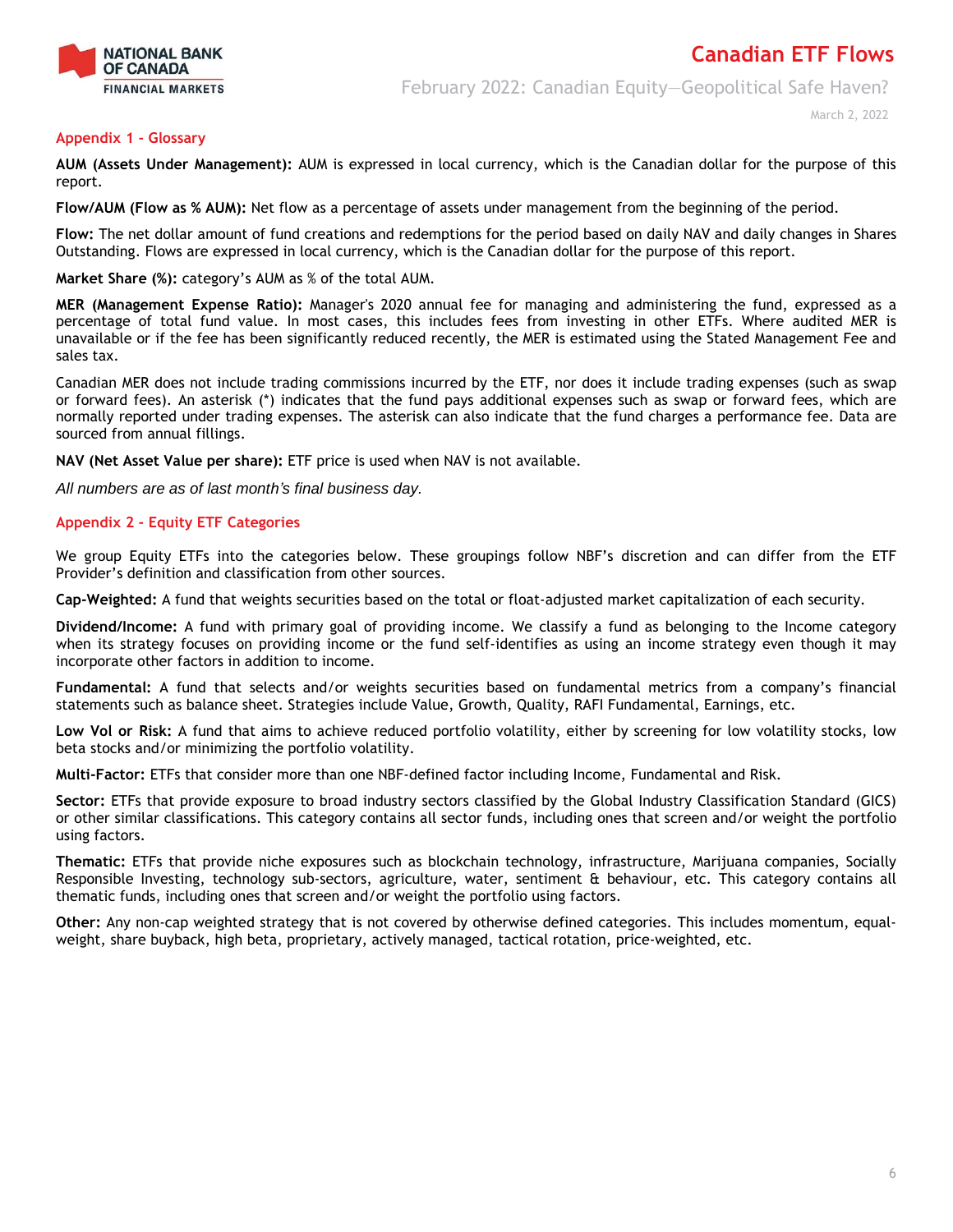

February 2022: Canadian Equity—Geopolitical Safe Haven?

March 2, 2022

#### **Appendix 1 - Glossary**

**AUM (Assets Under Management):** AUM is expressed in local currency, which is the Canadian dollar for the purpose of this report.

**Flow/AUM (Flow as % AUM):** Net flow as a percentage of assets under management from the beginning of the period.

**Flow:** The net dollar amount of fund creations and redemptions for the period based on daily NAV and daily changes in Shares Outstanding. Flows are expressed in local currency, which is the Canadian dollar for the purpose of this report.

**Market Share (%):** category's AUM as % of the total AUM.

**MER (Management Expense Ratio):** Manager's 2020 annual fee for managing and administering the fund, expressed as a percentage of total fund value. In most cases, this includes fees from investing in other ETFs. Where audited MER is unavailable or if the fee has been significantly reduced recently, the MER is estimated using the Stated Management Fee and sales tax.

Canadian MER does not include trading commissions incurred by the ETF, nor does it include trading expenses (such as swap or forward fees). An asterisk (\*) indicates that the fund pays additional expenses such as swap or forward fees, which are normally reported under trading expenses. The asterisk can also indicate that the fund charges a performance fee. Data are sourced from annual fillings.

**NAV (Net Asset Value per share):** ETF price is used when NAV is not available.

*All numbers are as of last month's final business day.* 

### **Appendix 2 - Equity ETF Categories**

We group Equity ETFs into the categories below. These groupings follow NBF's discretion and can differ from the ETF Provider's definition and classification from other sources.

**Cap-Weighted:** A fund that weights securities based on the total or float-adjusted market capitalization of each security.

**Dividend/Income:** A fund with primary goal of providing income. We classify a fund as belonging to the Income category when its strategy focuses on providing income or the fund self-identifies as using an income strategy even though it may incorporate other factors in addition to income.

**Fundamental:** A fund that selects and/or weights securities based on fundamental metrics from a company's financial statements such as balance sheet. Strategies include Value, Growth, Quality, RAFI Fundamental, Earnings, etc.

**Low Vol or Risk:** A fund that aims to achieve reduced portfolio volatility, either by screening for low volatility stocks, low beta stocks and/or minimizing the portfolio volatility.

**Multi-Factor:** ETFs that consider more than one NBF-defined factor including Income, Fundamental and Risk.

**Sector:** ETFs that provide exposure to broad industry sectors classified by the Global Industry Classification Standard (GICS) or other similar classifications. This category contains all sector funds, including ones that screen and/or weight the portfolio using factors.

**Thematic:** ETFs that provide niche exposures such as blockchain technology, infrastructure, Marijuana companies, Socially Responsible Investing, technology sub-sectors, agriculture, water, sentiment & behaviour, etc. This category contains all thematic funds, including ones that screen and/or weight the portfolio using factors.

**Other:** Any non-cap weighted strategy that is not covered by otherwise defined categories. This includes momentum, equalweight, share buyback, high beta, proprietary, actively managed, tactical rotation, price-weighted, etc.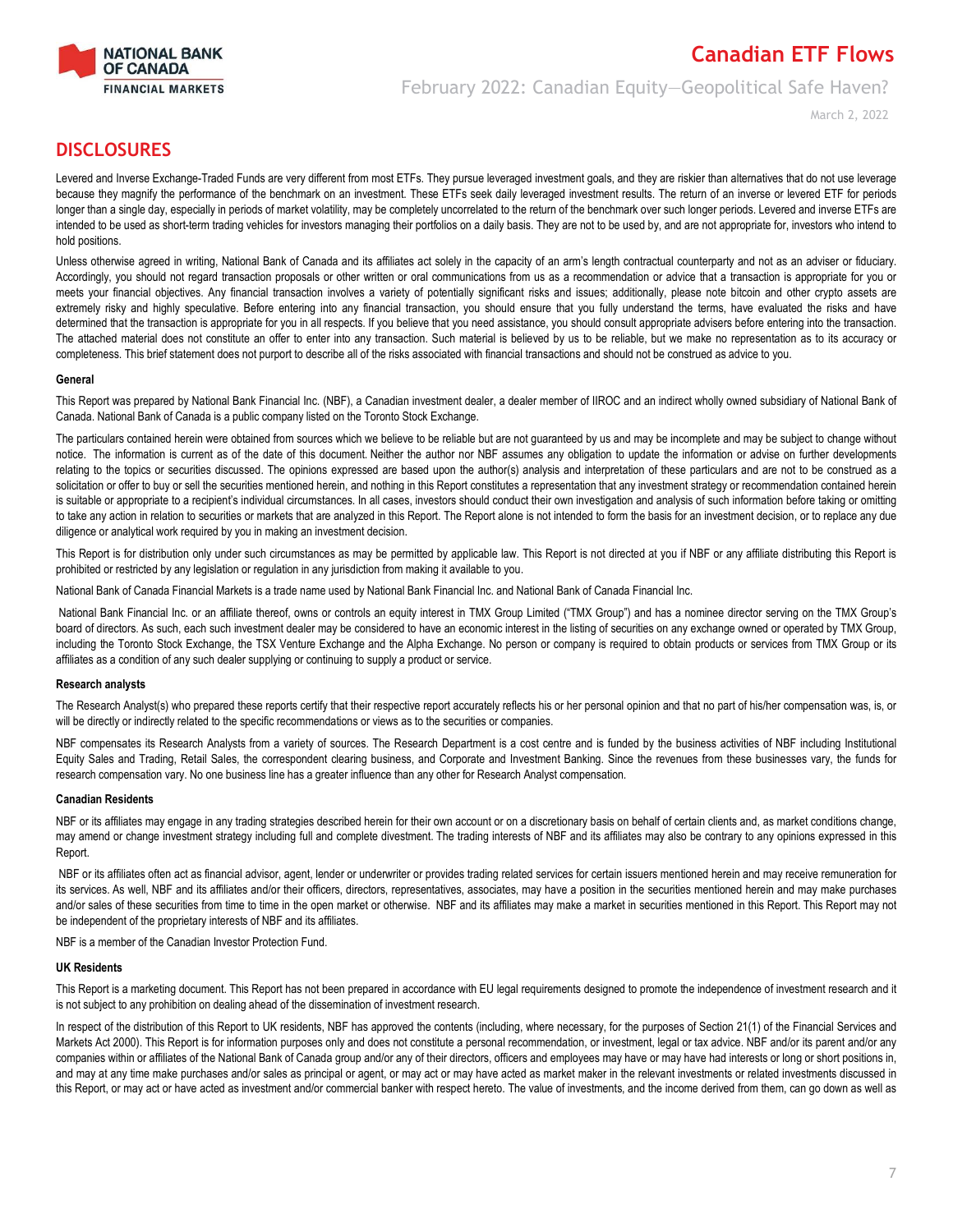

### **Canadian ETF Flows** February 2022: Canadian Equity—Geopolitical Safe Haven?

March 2, 2022

### **DISCLOSURES**

Levered and Inverse Exchange-Traded Funds are very different from most ETFs. They pursue leveraged investment goals, and they are riskier than alternatives that do not use leverage because they magnify the performance of the benchmark on an investment. These ETFs seek daily leveraged investment results. The return of an inverse or levered ETF for periods longer than a single day, especially in periods of market volatility, may be completely uncorrelated to the return of the benchmark over such longer periods. Levered and inverse ETFs are intended to be used as short-term trading vehicles for investors managing their portfolios on a daily basis. They are not to be used by, and are not appropriate for, investors who intend to hold positions.

Unless otherwise agreed in writing, National Bank of Canada and its affiliates act solely in the capacity of an arm's length contractual counterparty and not as an adviser or fiduciary. Accordingly, you should not regard transaction proposals or other written or oral communications from us as a recommendation or advice that a transaction is appropriate for you or meets your financial objectives. Any financial transaction involves a variety of potentially significant risks and issues; additionally, please note bitcoin and other crypto assets are extremely risky and highly speculative. Before entering into any financial transaction, you should ensure that you fully understand the terms, have evaluated the risks and have determined that the transaction is appropriate for you in all respects. If you believe that you need assistance, you should consult appropriate advisers before entering into the transaction. The attached material does not constitute an offer to enter into any transaction. Such material is believed by us to be reliable, but we make no representation as to its accuracy or completeness. This brief statement does not purport to describe all of the risks associated with financial transactions and should not be construed as advice to you.

#### **General**

This Report was prepared by National Bank Financial Inc. (NBF), a Canadian investment dealer, a dealer member of IIROC and an indirect wholly owned subsidiary of National Bank of Canada. National Bank of Canada is a public company listed on the Toronto Stock Exchange.

The particulars contained herein were obtained from sources which we believe to be reliable but are not guaranteed by us and may be incomplete and may be subject to change without notice. The information is current as of the date of this document. Neither the author nor NBF assumes any obligation to update the information or advise on further developments relating to the topics or securities discussed. The opinions expressed are based upon the author(s) analysis and interpretation of these particulars and are not to be construed as a solicitation or offer to buy or sell the securities mentioned herein, and nothing in this Report constitutes a representation that any investment strategy or recommendation contained herein is suitable or appropriate to a recipient's individual circumstances. In all cases, investors should conduct their own investigation and analysis of such information before taking or omitting to take any action in relation to securities or markets that are analyzed in this Report. The Report alone is not intended to form the basis for an investment decision, or to replace any due diligence or analytical work required by you in making an investment decision.

This Report is for distribution only under such circumstances as may be permitted by applicable law. This Report is not directed at you if NBF or any affiliate distributing this Report is prohibited or restricted by any legislation or regulation in any jurisdiction from making it available to you.

National Bank of Canada Financial Markets is a trade name used by National Bank Financial Inc. and National Bank of Canada Financial Inc.

National Bank Financial Inc. or an affiliate thereof, owns or controls an equity interest in TMX Group Limited ("TMX Group") and has a nominee director serving on the TMX Group's board of directors. As such, each such investment dealer may be considered to have an economic interest in the listing of securities on any exchange owned or operated by TMX Group, including the Toronto Stock Exchange, the TSX Venture Exchange and the Alpha Exchange. No person or company is required to obtain products or services from TMX Group or its affiliates as a condition of any such dealer supplying or continuing to supply a product or service.

#### **Research analysts**

The Research Analyst(s) who prepared these reports certify that their respective report accurately reflects his or her personal opinion and that no part of his/her compensation was, is, or will be directly or indirectly related to the specific recommendations or views as to the securities or companies.

NBF compensates its Research Analysts from a variety of sources. The Research Department is a cost centre and is funded by the business activities of NBF including Institutional Equity Sales and Trading, Retail Sales, the correspondent clearing business, and Corporate and Investment Banking. Since the revenues from these businesses vary, the funds for research compensation vary. No one business line has a greater influence than any other for Research Analyst compensation.

#### **Canadian Residents**

NBF or its affiliates may engage in any trading strategies described herein for their own account or on a discretionary basis on behalf of certain clients and, as market conditions change, may amend or change investment strategy including full and complete divestment. The trading interests of NBF and its affiliates may also be contrary to any opinions expressed in this Report.

NBF or its affiliates often act as financial advisor, agent, lender or underwriter or provides trading related services for certain issuers mentioned herein and may receive remuneration for its services. As well, NBF and its affiliates and/or their officers, directors, representatives, associates, may have a position in the securities mentioned herein and may make purchases and/or sales of these securities from time to time in the open market or otherwise. NBF and its affiliates may make a market in securities mentioned in this Report. This Report may not be independent of the proprietary interests of NBF and its affiliates.

NBF is a member of the Canadian Investor Protection Fund.

#### **UK Residents**

This Report is a marketing document. This Report has not been prepared in accordance with EU legal requirements designed to promote the independence of investment research and it is not subject to any prohibition on dealing ahead of the dissemination of investment research.

In respect of the distribution of this Report to UK residents, NBF has approved the contents (including, where necessary, for the purposes of Section 21(1) of the Financial Services and Markets Act 2000). This Report is for information purposes only and does not constitute a personal recommendation, or investment, legal or tax advice. NBF and/or its parent and/or any companies within or affiliates of the National Bank of Canada group and/or any of their directors, officers and employees may have or may have had interests or long or short positions in, and may at any time make purchases and/or sales as principal or agent, or may act or may have acted as market maker in the relevant investments or related investments discussed in this Report, or may act or have acted as investment and/or commercial banker with respect hereto. The value of investments, and the income derived from them, can go down as well as